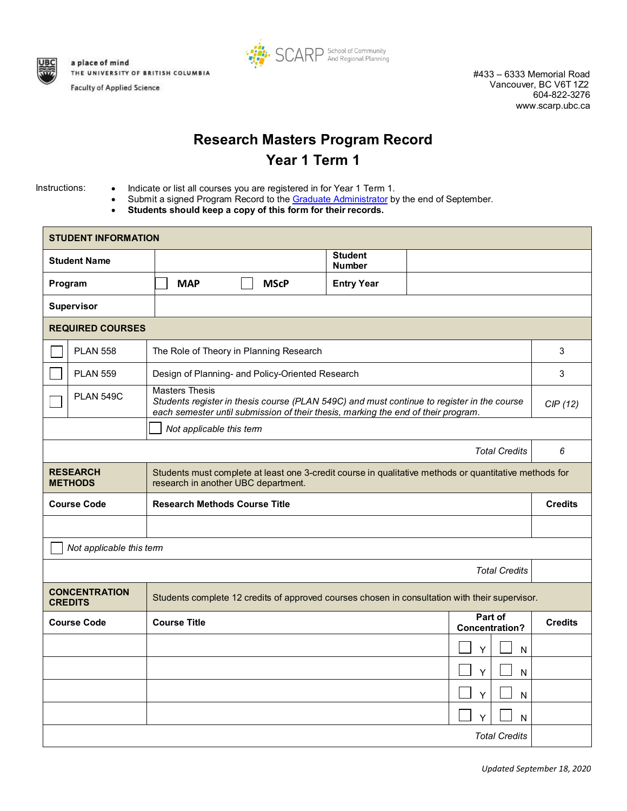

a place of mind THE UNIVERSITY OF BRITISH COLUMBIA **Faculty of Applied Science** 



#433 – 6333 Memorial Road Vancouver, BC V6T 1Z2 604-822-3276 [www.scarp.ubc.ca](http://www.scarp.ubc.ca/)

## **Research Masters Program Record Year 1 Term 1**

- Instructions: Indicate or list all courses you are registered in for Year 1 Term 1.
	- Submit a signed Program Record to the [Graduate Administrator](mailto:grad.scarp@ubc.ca) by the end of September.
	- **Students should keep a copy of this form for their records.**

| <b>STUDENT INFORMATION</b>                                                                                                               |                  |                                                                                                                                               |                                                                                                                                                                                 |                                 |                                  |                |
|------------------------------------------------------------------------------------------------------------------------------------------|------------------|-----------------------------------------------------------------------------------------------------------------------------------------------|---------------------------------------------------------------------------------------------------------------------------------------------------------------------------------|---------------------------------|----------------------------------|----------------|
| <b>Student Name</b>                                                                                                                      |                  |                                                                                                                                               |                                                                                                                                                                                 | <b>Student</b><br><b>Number</b> |                                  |                |
| Program                                                                                                                                  |                  | <b>MAP</b>                                                                                                                                    | <b>MScP</b>                                                                                                                                                                     | <b>Entry Year</b>               |                                  |                |
| Supervisor                                                                                                                               |                  |                                                                                                                                               |                                                                                                                                                                                 |                                 |                                  |                |
| <b>REQUIRED COURSES</b>                                                                                                                  |                  |                                                                                                                                               |                                                                                                                                                                                 |                                 |                                  |                |
|                                                                                                                                          | <b>PLAN 558</b>  |                                                                                                                                               | The Role of Theory in Planning Research                                                                                                                                         |                                 |                                  | 3              |
|                                                                                                                                          | <b>PLAN 559</b>  |                                                                                                                                               | Design of Planning- and Policy-Oriented Research                                                                                                                                |                                 |                                  | 3              |
|                                                                                                                                          | <b>PLAN 549C</b> | <b>Masters Thesis</b>                                                                                                                         | Students register in thesis course (PLAN 549C) and must continue to register in the course<br>each semester until submission of their thesis, marking the end of their program. |                                 |                                  | CIP(12)        |
| Not applicable this term                                                                                                                 |                  |                                                                                                                                               |                                                                                                                                                                                 |                                 |                                  |                |
|                                                                                                                                          |                  | <b>Total Credits</b>                                                                                                                          |                                                                                                                                                                                 |                                 |                                  |                |
| <b>RESEARCH</b><br><b>METHODS</b>                                                                                                        |                  | Students must complete at least one 3-credit course in qualitative methods or quantitative methods for<br>research in another UBC department. |                                                                                                                                                                                 |                                 |                                  |                |
| <b>Course Code</b>                                                                                                                       |                  | <b>Research Methods Course Title</b>                                                                                                          |                                                                                                                                                                                 |                                 |                                  | <b>Credits</b> |
|                                                                                                                                          |                  |                                                                                                                                               |                                                                                                                                                                                 |                                 |                                  |                |
| Not applicable this term                                                                                                                 |                  |                                                                                                                                               |                                                                                                                                                                                 |                                 |                                  |                |
|                                                                                                                                          |                  | <b>Total Credits</b>                                                                                                                          |                                                                                                                                                                                 |                                 |                                  |                |
| <b>CONCENTRATION</b><br>Students complete 12 credits of approved courses chosen in consultation with their supervisor.<br><b>CREDITS</b> |                  |                                                                                                                                               |                                                                                                                                                                                 |                                 |                                  |                |
| <b>Course Code</b>                                                                                                                       |                  |                                                                                                                                               |                                                                                                                                                                                 |                                 |                                  |                |
|                                                                                                                                          |                  | <b>Course Title</b>                                                                                                                           |                                                                                                                                                                                 |                                 | Part of<br><b>Concentration?</b> | <b>Credits</b> |
|                                                                                                                                          |                  |                                                                                                                                               |                                                                                                                                                                                 |                                 | Y<br>N                           |                |
|                                                                                                                                          |                  |                                                                                                                                               |                                                                                                                                                                                 |                                 | Y<br>$\mathsf{N}$                |                |
|                                                                                                                                          |                  |                                                                                                                                               |                                                                                                                                                                                 |                                 | Υ<br>N                           |                |
|                                                                                                                                          |                  |                                                                                                                                               |                                                                                                                                                                                 |                                 | Y<br>N                           |                |